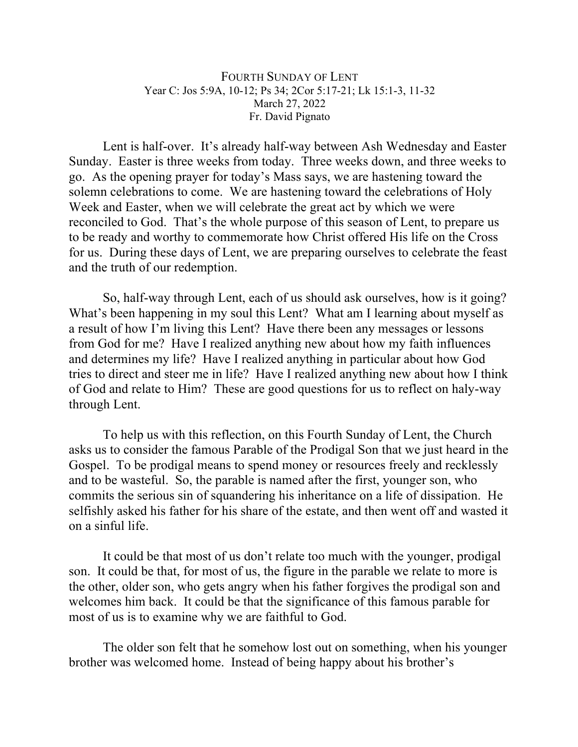## FOURTH SUNDAY OF LENT Year C: Jos 5:9A, 10-12; Ps 34; 2Cor 5:17-21; Lk 15:1-3, 11-32 March 27, 2022 Fr. David Pignato

Lent is half-over. It's already half-way between Ash Wednesday and Easter Sunday. Easter is three weeks from today. Three weeks down, and three weeks to go. As the opening prayer for today's Mass says, we are hastening toward the solemn celebrations to come. We are hastening toward the celebrations of Holy Week and Easter, when we will celebrate the great act by which we were reconciled to God. That's the whole purpose of this season of Lent, to prepare us to be ready and worthy to commemorate how Christ offered His life on the Cross for us. During these days of Lent, we are preparing ourselves to celebrate the feast and the truth of our redemption.

So, half-way through Lent, each of us should ask ourselves, how is it going? What's been happening in my soul this Lent? What am I learning about myself as a result of how I'm living this Lent? Have there been any messages or lessons from God for me? Have I realized anything new about how my faith influences and determines my life? Have I realized anything in particular about how God tries to direct and steer me in life? Have I realized anything new about how I think of God and relate to Him? These are good questions for us to reflect on haly-way through Lent.

To help us with this reflection, on this Fourth Sunday of Lent, the Church asks us to consider the famous Parable of the Prodigal Son that we just heard in the Gospel. To be prodigal means to spend money or resources freely and recklessly and to be wasteful. So, the parable is named after the first, younger son, who commits the serious sin of squandering his inheritance on a life of dissipation. He selfishly asked his father for his share of the estate, and then went off and wasted it on a sinful life.

It could be that most of us don't relate too much with the younger, prodigal son. It could be that, for most of us, the figure in the parable we relate to more is the other, older son, who gets angry when his father forgives the prodigal son and welcomes him back. It could be that the significance of this famous parable for most of us is to examine why we are faithful to God.

The older son felt that he somehow lost out on something, when his younger brother was welcomed home. Instead of being happy about his brother's